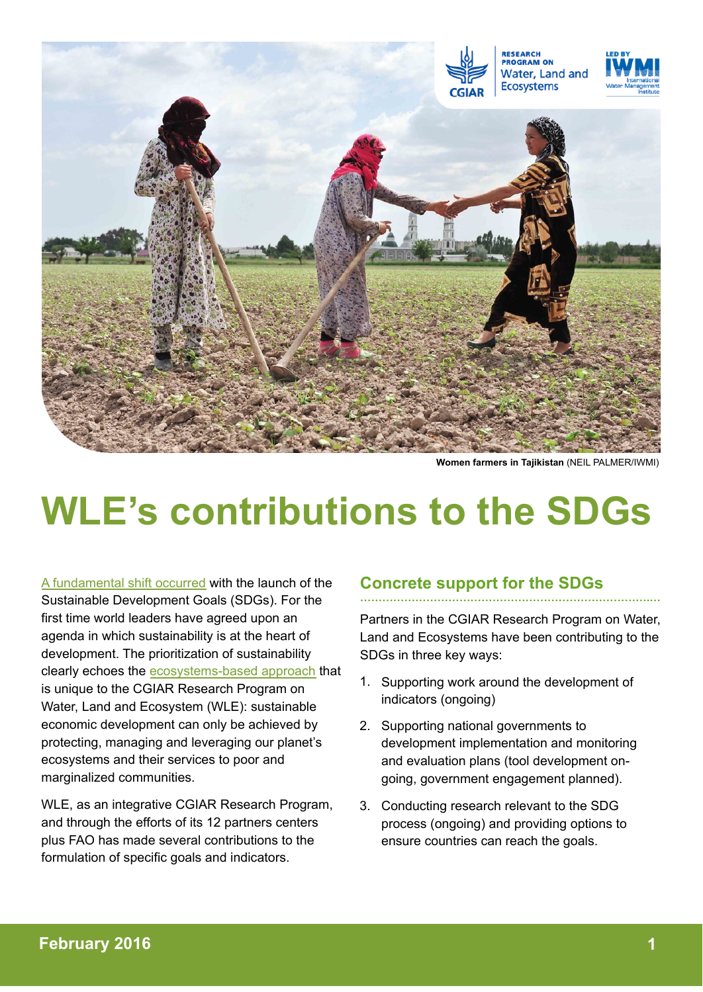

**Women farmers in Tajikistan** (NEIL PALMER/IWMI)

# **WLE's contributions to the SDGs**

[A fundamental shift occurred](http://www.huffingtonpost.com/johan-rockstrom/we-have-a-plan-for-our-planet_b_8333832.html?1445291669) with the launch of the Sustainable Development Goals (SDGs). For the first time world leaders have agreed upon an agenda in which sustainability is at the heart of development. The prioritization of sustainability clearly echoes the [ecosystems-based approach](https://wle.cgiar.org/approach) that is unique to the CGIAR Research Program on Water, Land and Ecosystem (WLE): sustainable economic development can only be achieved by protecting, managing and leveraging our planet's ecosystems and their services to poor and marginalized communities.

WLE, as an integrative CGIAR Research Program, and through the efforts of its 12 partners centers plus FAO has made several contributions to the formulation of specific goals and indicators.

#### **Concrete support for the SDGs …………………………………………………………………….…**

Partners in the CGIAR Research Program on Water, Land and Ecosystems have been contributing to the SDGs in three key ways:

- 1. Supporting work around the development of indicators (ongoing)
- 2. Supporting national governments to development implementation and monitoring and evaluation plans (tool development ongoing, government engagement planned).
- 3. Conducting research relevant to the SDG process (ongoing) and providing options to ensure countries can reach the goals.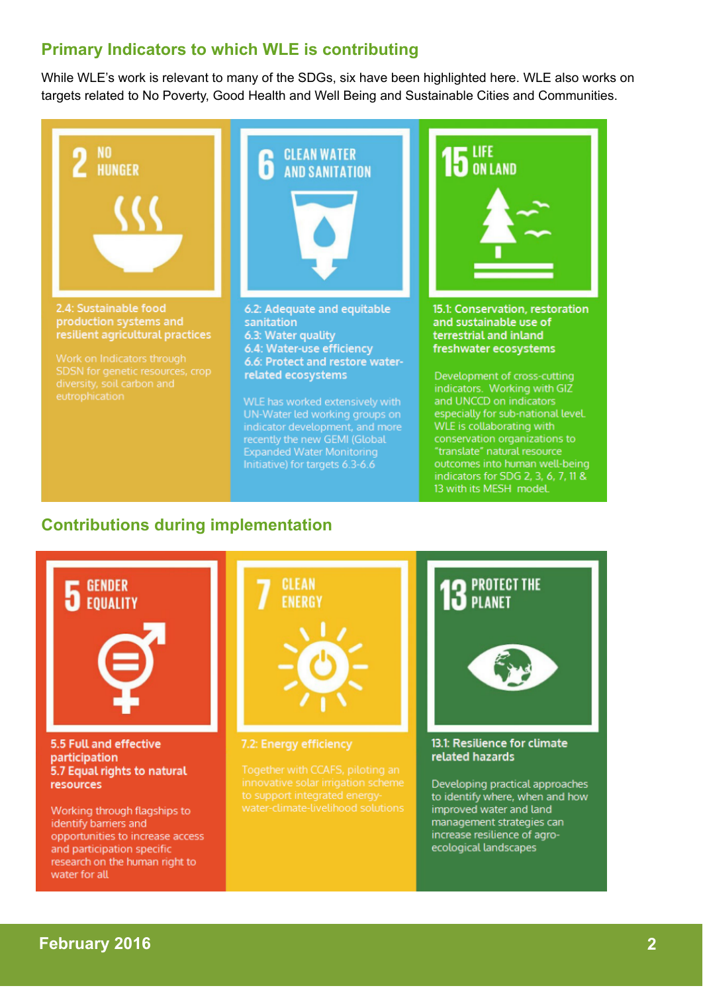## **Primary Indicators to which WLE is contributing**

While WLE's work is relevant to many of the SDGs, six have been highlighted here. WLE also works on targets related to No Poverty, Good Health and Well Being and Sustainable Cities and Communities.



# **Contributions during implementation**



## **February 2016 2**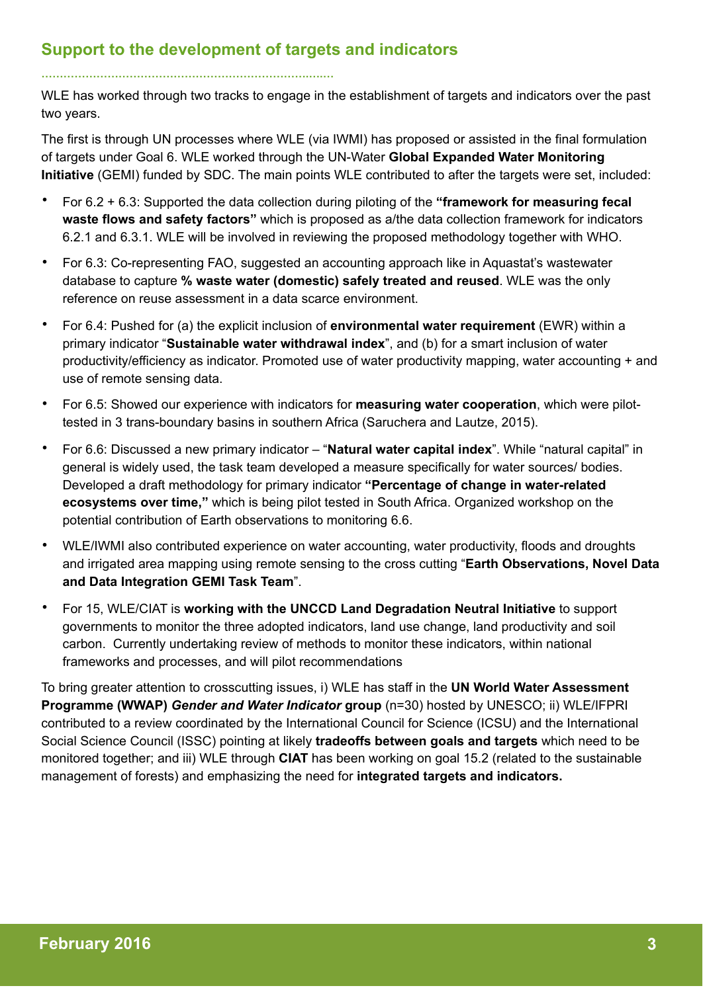## **Support to the development of targets and indicators**

**……………………………………………………………….….…**

WLE has worked through two tracks to engage in the establishment of targets and indicators over the past two years.

The first is through UN processes where WLE (via IWMI) has proposed or assisted in the final formulation of targets under Goal 6. WLE worked through the UN-Water **Global Expanded Water Monitoring Initiative** (GEMI) funded by SDC. The main points WLE contributed to after the targets were set, included:

- For 6.2 + 6.3: Supported the data collection during piloting of the **"framework for measuring fecal waste flows and safety factors"** which is proposed as a/the data collection framework for indicators 6.2.1 and 6.3.1. WLE will be involved in reviewing the proposed methodology together with WHO.
- For 6.3: Co-representing FAO, suggested an accounting approach like in Aquastat's wastewater database to capture **% waste water (domestic) safely treated and reused**. WLE was the only reference on reuse assessment in a data scarce environment.
- For 6.4: Pushed for (a) the explicit inclusion of **environmental water requirement** (EWR) within a primary indicator "**Sustainable water withdrawal index**", and (b) for a smart inclusion of water productivity/efficiency as indicator. Promoted use of water productivity mapping, water accounting + and use of remote sensing data.
- For 6.5: Showed our experience with indicators for **measuring water cooperation**, which were pilottested in 3 trans-boundary basins in southern Africa (Saruchera and Lautze, 2015).
- For 6.6: Discussed a new primary indicator "**Natural water capital index**". While "natural capital" in general is widely used, the task team developed a measure specifically for water sources/ bodies. Developed a draft methodology for primary indicator **"Percentage of change in water-related ecosystems over time,"** which is being pilot tested in South Africa. Organized workshop on the potential contribution of Earth observations to monitoring 6.6.
- WLE/IWMI also contributed experience on water accounting, water productivity, floods and droughts and irrigated area mapping using remote sensing to the cross cutting "**Earth Observations, Novel Data and Data Integration GEMI Task Team**".
- For 15, WLE/CIAT is **working with the UNCCD Land Degradation Neutral Initiative** to support governments to monitor the three adopted indicators, land use change, land productivity and soil carbon. Currently undertaking review of methods to monitor these indicators, within national frameworks and processes, and will pilot recommendations

To bring greater attention to crosscutting issues, i) WLE has staff in the **UN World Water Assessment Programme (WWAP)** *Gender and Water Indicator* **group** (n=30) hosted by UNESCO; ii) WLE/IFPRI contributed to a review coordinated by the International Council for Science (ICSU) and the International Social Science Council (ISSC) pointing at likely **tradeoffs between goals and targets** which need to be monitored together; and iii) WLE through **CIAT** has been working on goal 15.2 (related to the sustainable management of forests) and emphasizing the need for **integrated targets and indicators.**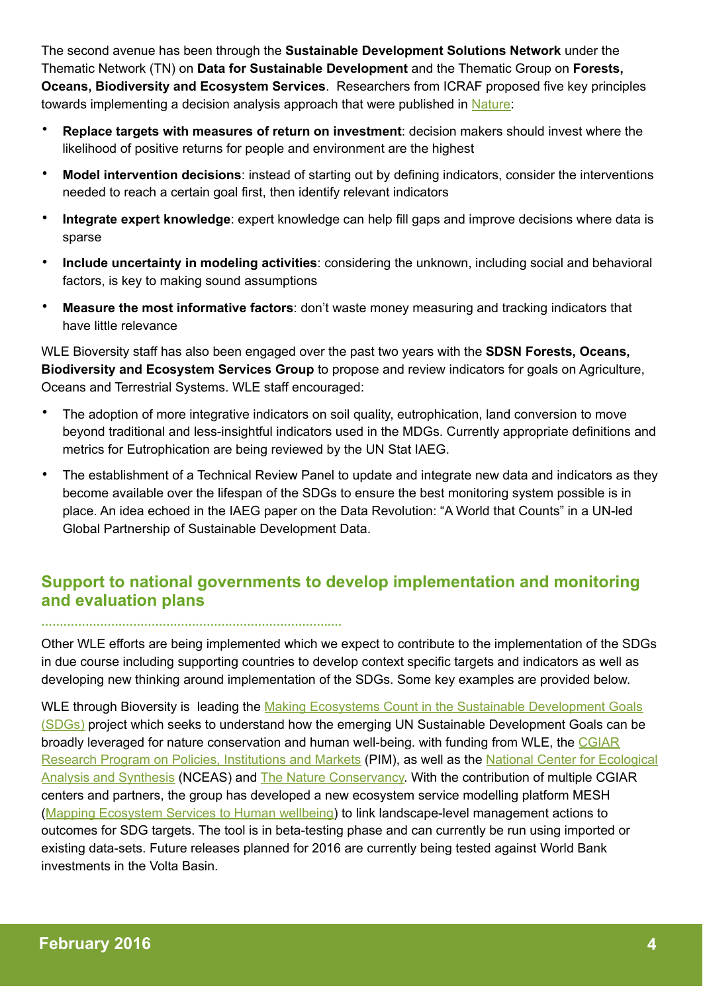The second avenue has been through the **Sustainable Development Solutions Network** under the Thematic Network (TN) on **Data for Sustainable Development** and the Thematic Group on **Forests, Oceans, Biodiversity and Ecosystem Services**. Researchers from ICRAF proposed five key principles towards implementing a decision analysis approach that were published in [Nature:](http://www.nature.com/news/policy-development-goals-should-enable-decision-making-1.17915)

- **Replace targets with measures of return on investment**: decision makers should invest where the likelihood of positive returns for people and environment are the highest
- **Model intervention decisions**: instead of starting out by defining indicators, consider the interventions needed to reach a certain goal first, then identify relevant indicators
- **Integrate expert knowledge**: expert knowledge can help fill gaps and improve decisions where data is sparse
- **Include uncertainty in modeling activities**: considering the unknown, including social and behavioral factors, is key to making sound assumptions
- **Measure the most informative factors**: don't waste money measuring and tracking indicators that have little relevance

WLE Bioversity staff has also been engaged over the past two years with the **SDSN Forests, Oceans, Biodiversity and Ecosystem Services Group** to propose and review indicators for goals on Agriculture, Oceans and Terrestrial Systems. WLE staff encouraged:

- The adoption of more integrative indicators on soil quality, eutrophication, land conversion to move beyond traditional and less-insightful indicators used in the MDGs. Currently appropriate definitions and metrics for Eutrophication are being reviewed by the UN Stat IAEG.
- The establishment of a Technical Review Panel to update and integrate new data and indicators as they become available over the lifespan of the SDGs to ensure the best monitoring system possible is in place. An idea echoed in the IAEG paper on the Data Revolution: "A World that Counts" in a UN-led Global Partnership of Sustainable Development Data.

# **Support to national governments to develop implementation and monitoring and evaluation plans**

**…………………………………………………………………….…**

Other WLE efforts are being implemented which we expect to contribute to the implementation of the SDGs in due course including supporting countries to develop context specific targets and indicators as well as developing new thinking around implementation of the SDGs. Some key examples are provided below.

WLE through Bioversity is leading the Making Ecosystems Count in the Sustainable Development Goals [\(SDGs\) project which seeks to understand how the emerging UN Sustainable Development Goals can be](http://www.snap.is/groups/making-ecosystems-count/)  broadly leveraged for nature conservation and human well-being. with funding from WLE, the CGIAR [Research Program on Policies, Institutions and Markets \(PIM\), as well as the National Center for Eco](http://www.pim.cgiar.org/)[logical](https://www.nceas.ucsb.edu/)  Analysis and Synthesis (NCEAS) and [The Nature Conservancy.](http://www.nature.org/) With the contribution of multiple CGIAR centers and partners, the group has developed a new ecosystem service modelling platform MESH ([Mapping Ecosystem Services to Human wellbeing\)](https://wle.cgiar.org/mapping-ecosystem-services-human-well-being-mesh) to link landscape-level management actions to outcomes for SDG targets. The tool is in beta-testing phase and can currently be run using imported or existing data-sets. Future releases planned for 2016 are currently being tested against World Bank investments in the Volta Basin.